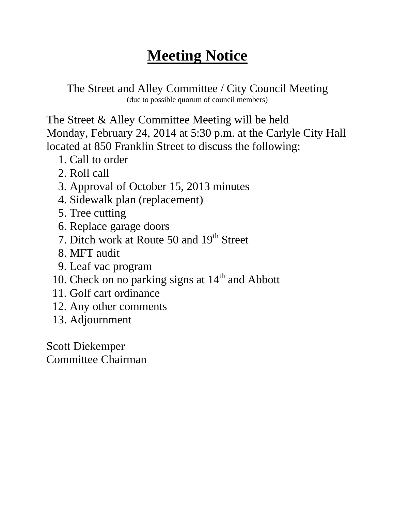The Street and Alley Committee / City Council Meeting (due to possible quorum of council members)

The Street & Alley Committee Meeting will be held Monday, February 24, 2014 at 5:30 p.m. at the Carlyle City Hall located at 850 Franklin Street to discuss the following:

- 1. Call to order
- 2. Roll call
- 3. Approval of October 15, 2013 minutes
- 4. Sidewalk plan (replacement)
- 5. Tree cutting
- 6. Replace garage doors
- 7. Ditch work at Route 50 and 19<sup>th</sup> Street
- 8. MFT audit
- 9. Leaf vac program
- 10. Check on no parking signs at  $14<sup>th</sup>$  and Abbott
- 11. Golf cart ordinance
- 12. Any other comments
- 13. Adjournment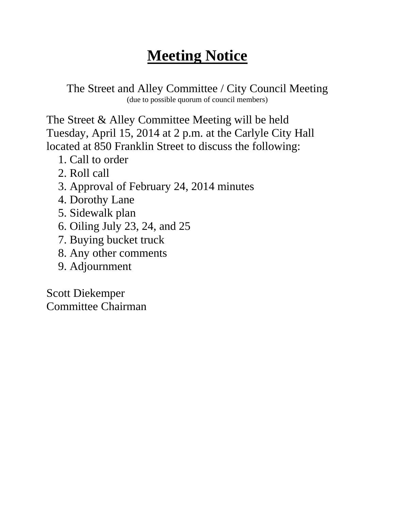The Street and Alley Committee / City Council Meeting (due to possible quorum of council members)

The Street & Alley Committee Meeting will be held Tuesday, April 15, 2014 at 2 p.m. at the Carlyle City Hall located at 850 Franklin Street to discuss the following:

- 1. Call to order
- 2. Roll call
- 3. Approval of February 24, 2014 minutes
- 4. Dorothy Lane
- 5. Sidewalk plan
- 6. Oiling July 23, 24, and 25
- 7. Buying bucket truck
- 8. Any other comments
- 9. Adjournment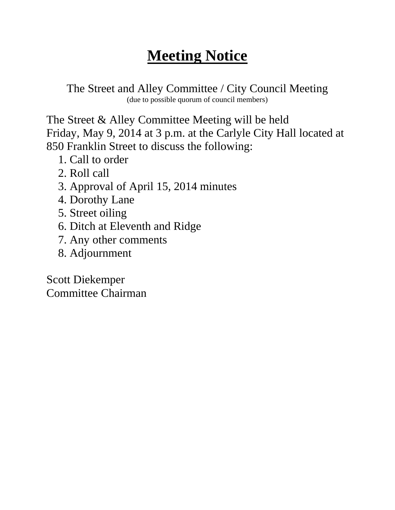The Street and Alley Committee / City Council Meeting (due to possible quorum of council members)

The Street & Alley Committee Meeting will be held Friday, May 9, 2014 at 3 p.m. at the Carlyle City Hall located at 850 Franklin Street to discuss the following:

- 1. Call to order
- 2. Roll call
- 3. Approval of April 15, 2014 minutes
- 4. Dorothy Lane
- 5. Street oiling
- 6. Ditch at Eleventh and Ridge
- 7. Any other comments
- 8. Adjournment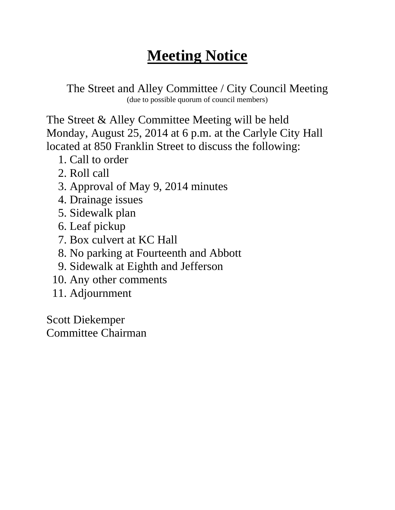The Street and Alley Committee / City Council Meeting (due to possible quorum of council members)

The Street & Alley Committee Meeting will be held Monday, August 25, 2014 at 6 p.m. at the Carlyle City Hall located at 850 Franklin Street to discuss the following:

- 1. Call to order
- 2. Roll call
- 3. Approval of May 9, 2014 minutes
- 4. Drainage issues
- 5. Sidewalk plan
- 6. Leaf pickup
- 7. Box culvert at KC Hall
- 8. No parking at Fourteenth and Abbott
- 9. Sidewalk at Eighth and Jefferson
- 10. Any other comments
- 11. Adjournment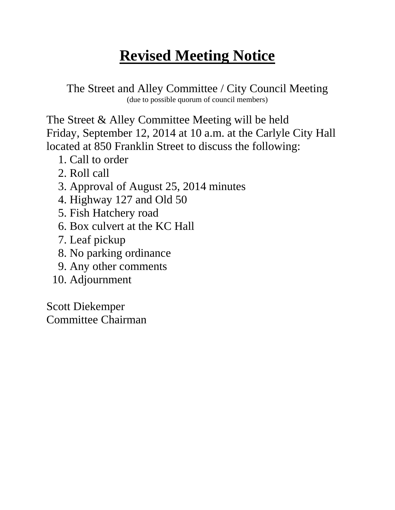#### **Revised Meeting Notice**

The Street and Alley Committee / City Council Meeting (due to possible quorum of council members)

The Street & Alley Committee Meeting will be held Friday, September 12, 2014 at 10 a.m. at the Carlyle City Hall located at 850 Franklin Street to discuss the following:

- 1. Call to order
- 2. Roll call
- 3. Approval of August 25, 2014 minutes
- 4. Highway 127 and Old 50
- 5. Fish Hatchery road
- 6. Box culvert at the KC Hall
- 7. Leaf pickup
- 8. No parking ordinance
- 9. Any other comments
- 10. Adjournment